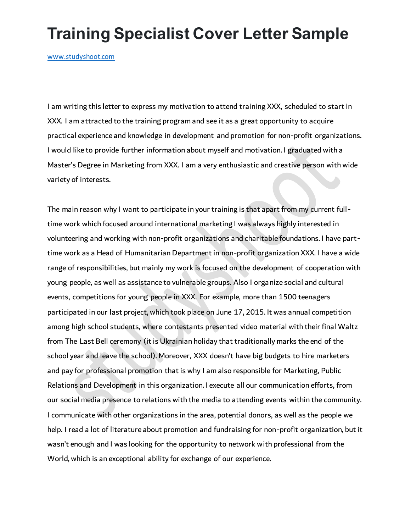## **Training Specialist Cover Letter Sample**

[www.studyshoot.com](http://www.studyshoot.com/)

I am writing this letter to express my motivation to attend training XXX, scheduled to start in XXX. I am attracted to the training program and see it as a great opportunity to acquire practical experience and knowledge in development and promotion for non-profit organizations. I would like to provide further information about myself and motivation. I graduated with a Master's Degree in Marketing from XXX. I am a very enthusiastic and creative person with wide variety of interests.

The main reason why I want to participate in your training is that apart from my current fulltime work which focused around international marketing I was always highly interested in volunteering and working with non-profit organizations and charitable foundations. I have parttime work as a Head of Humanitarian Department in non-profit organization XXX. I have a wide range of responsibilities, but mainly my work is focused on the development of cooperation with young people, as well as assistance to vulnerable groups. Also I organize social and cultural events, competitions for young people in XXX. For example, more than 1500 teenagers participated in our last project, which took place on June 17, 2015. It was annual competition among high school students, where contestants presented video material with their final Waltz from The Last Bell ceremony (it is Ukrainian holiday that traditionally marks the end of the school year and leave the school). Moreover, XXX doesn't have big budgets to hire marketers and pay for professional promotion that is why I am also responsible for Marketing, Public Relations and Development in this organization. I execute all our communication efforts, from our social media presence to relations with the media to attending events within the community. I communicate with other organizations in the area, potential donors, as well as the people we help. I read a lot of literature about promotion and fundraising for non-profit organization, but it wasn't enough and I was looking for the opportunity to network with professional from the World, which is an exceptional ability for exchange of our experience.